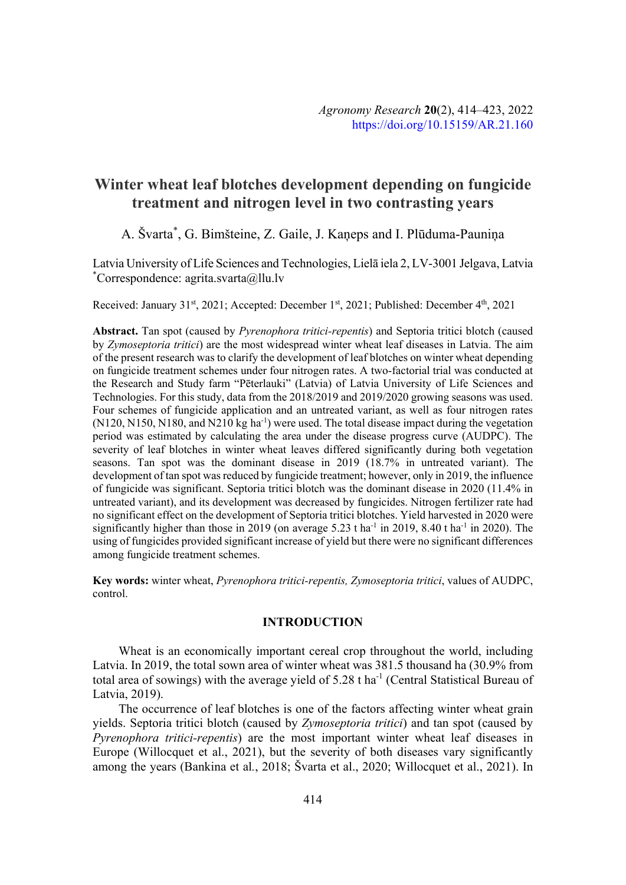# **Winter wheat leaf blotches development depending on fungicide treatment and nitrogen level in two contrasting years**

## A. Švarta\*, G. Bimšteine, Z. Gaile, J. Kaņeps and I. Plūduma-Pauniņa

Latvia University of Life Sciences and Technologies, Lielā iela 2, LV-3001 Jelgava, Latvia \* Correspondence: agrita.svarta@llu.lv

Received: January 31<sup>st</sup>, 2021; Accepted: December 1<sup>st</sup>, 2021; Published: December 4<sup>th</sup>, 2021

Abstract. Tan spot (caused by *Pyrenophora tritici-repentis*) and Septoria tritici blotch (caused by *Zymoseptoria tritici*) are the most widespread winter wheat leaf diseases in Latvia. The aim of the present research was to clarify the development of leaf blotches on winter wheat depending on fungicide treatment schemes under four nitrogen rates. A two-factorial trial was conducted at the Research and Study farm "Pēterlauki" (Latvia) of Latvia University of Life Sciences and Technologies. For this study, data from the 2018/2019 and 2019/2020 growing seasons was used. Four schemes of fungicide application and an untreated variant, as well as four nitrogen rates  $(N120, N150, N180, and N210 kg ha<sup>-1</sup>)$  were used. The total disease impact during the vegetation period was estimated by calculating the area under the disease progress curve (AUDPC). The severity of leaf blotches in winter wheat leaves differed significantly during both vegetation seasons. Tan spot was the dominant disease in 2019 (18.7% in untreated variant). The development of tan spot was reduced by fungicide treatment; however, only in 2019, the influence of fungicide was significant. Septoria tritici blotch was the dominant disease in 2020 (11.4% in untreated variant), and its development was decreased by fungicides. Nitrogen fertilizer rate had no significant effect on the development of Septoria tritici blotches. Yield harvested in 2020 were significantly higher than those in 2019 (on average 5.23 t ha<sup>-1</sup> in 2019, 8.40 t ha<sup>-1</sup> in 2020). The using of fungicides provided significant increase of yield but there were no significant differences among fungicide treatment schemes.

**Key words:** winter wheat, *Pyrenophora tritici-repentis, Zymoseptoria tritici*, values of AUDPC, control.

## **INTRODUCTION**

Wheat is an economically important cereal crop throughout the world, including Latvia. In 2019, the total sown area of winter wheat was 381.5 thousand ha (30.9% from total area of sowings) with the average yield of 5.28 t ha<sup>-1</sup> (Central Statistical Bureau of Latvia, 2019).

The occurrence of leaf blotches is one of the factors affecting winter wheat grain yields. Septoria tritici blotch (caused by *Zymoseptoria tritici*) and tan spot (caused by *Pyrenophora tritici-repentis*) are the most important winter wheat leaf diseases in Europe (Willocquet et al., 2021), but the severity of both diseases vary significantly among the years (Bankina et al*.*, 2018; Švarta et al., 2020; Willocquet et al., 2021). In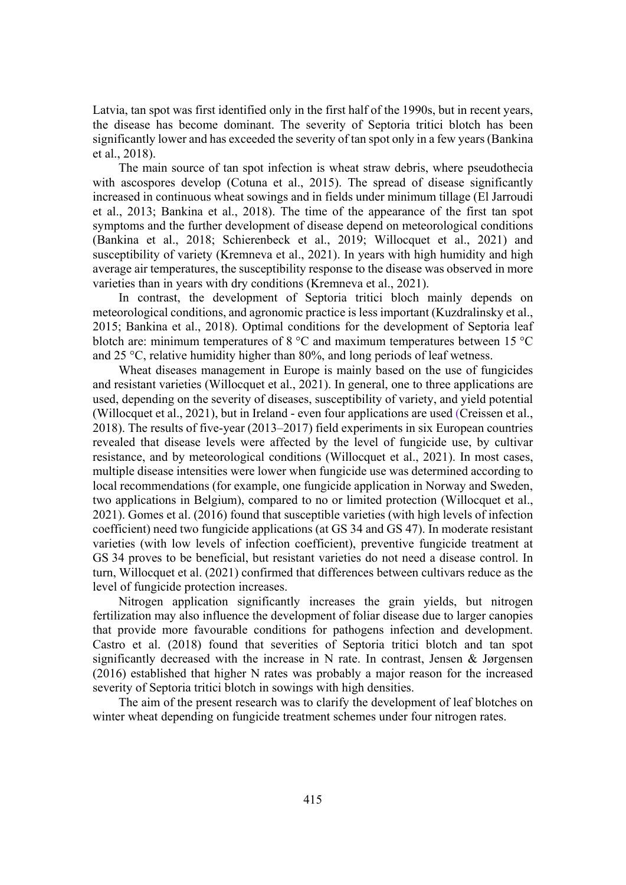Latvia, tan spot was first identified only in the first half of the 1990s, but in recent years, the disease has become dominant. The severity of Septoria tritici blotch has been significantly lower and has exceeded the severity of tan spot only in a few years (Bankina et al., 2018).

The main source of tan spot infection is wheat straw debris, where pseudothecia with ascospores develop (Cotuna et al., 2015). The spread of disease significantly increased in continuous wheat sowings and in fields under minimum tillage (El Jarroudi et al., 2013; Bankina et al., 2018). The time of the appearance of the first tan spot symptoms and the further development of disease depend on meteorological conditions (Bankina et al., 2018; Schierenbeck et al., 2019; Willocquet et al., 2021) and susceptibility of variety (Kremneva et al., 2021). In years with high humidity and high average air temperatures, the susceptibility response to the disease was observed in more varieties than in years with dry conditions (Kremneva et al., 2021).

In contrast, the development of Septoria tritici bloch mainly depends on meteorological conditions, and agronomic practice is less important (Kuzdralinsky et al., 2015; Bankina et al., 2018). Optimal conditions for the development of Septoria leaf blotch are: minimum temperatures of 8 °C and maximum temperatures between 15 °C and 25 °C, relative humidity higher than 80%, and long periods of leaf wetness.

Wheat diseases management in Europe is mainly based on the use of fungicides and resistant varieties (Willocquet et al., 2021). In general, one to three applications are used, depending on the severity of diseases, susceptibility of variety, and yield potential (Willocquet et al., 2021), but in Ireland - even four applications are used (Creissen et al., 2018). The results of five-year (2013–2017) field experiments in six European countries revealed that disease levels were affected by the level of fungicide use, by cultivar resistance, and by meteorological conditions (Willocquet et al., 2021). In most cases, multiple disease intensities were lower when fungicide use was determined according to local recommendations (for example, one fungicide application in Norway and Sweden, two applications in Belgium), compared to no or limited protection (Willocquet et al., 2021). Gomes et al. (2016) found that susceptible varieties (with high levels of infection coefficient) need two fungicide applications (at GS 34 and GS 47). In moderate resistant varieties (with low levels of infection coefficient), preventive fungicide treatment at GS 34 proves to be beneficial, but resistant varieties do not need a disease control. In turn, Willocquet et al. (2021) confirmed that differences between cultivars reduce as the level of fungicide protection increases.

Nitrogen application significantly increases the grain yields, but nitrogen fertilization may also influence the development of foliar disease due to larger canopies that provide more favourable conditions for pathogens infection and development. Castro et al. (2018) found that severities of Septoria tritici blotch and tan spot significantly decreased with the increase in N rate. In contrast, Jensen & Jørgensen (2016) established that higher N rates was probably a major reason for the increased severity of Septoria tritici blotch in sowings with high densities.

The aim of the present research was to clarify the development of leaf blotches on winter wheat depending on fungicide treatment schemes under four nitrogen rates.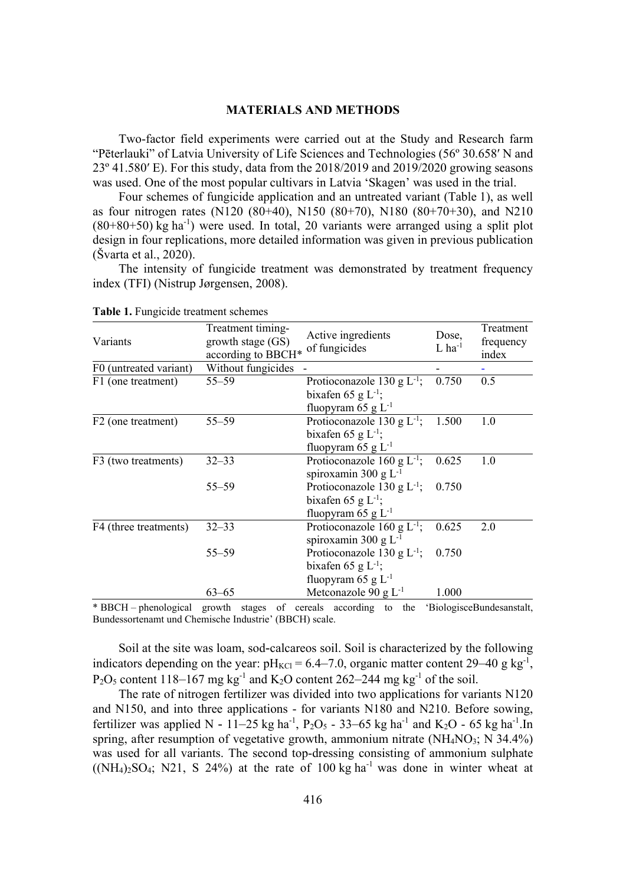## **MATERIALS AND METHODS**

Two-factor field experiments were carried out at the Study and Research farm "Pēterlauki" of Latvia University of Life Sciences and Technologies (56° 30.658' N and  $23^{\circ}$  41.580' E). For this study, data from the 2018/2019 and 2019/2020 growing seasons was used. One of the most popular cultivars in Latvia 'Skagen' was used in the trial.

Four schemes of fungicide application and an untreated variant (Table 1), as well as four nitrogen rates (N120 (80+40), N150 (80+70), N180 (80+70+30), and N210  $(80+80+50)$  kg ha<sup>-1</sup>) were used. In total, 20 variants were arranged using a split plot design in four replications, more detailed information was given in previous publication (Švarta et al., 2020).

The intensity of fungicide treatment was demonstrated by treatment frequency index (TFI) (Nistrup Jørgensen, 2008).

| Variants               | Treatment timing-<br>growth stage (GS)<br>according to BBCH* | Active ingredients<br>of fungicides | Dose,<br>$L$ ha <sup>-1</sup> | Treatment<br>frequency<br>index |
|------------------------|--------------------------------------------------------------|-------------------------------------|-------------------------------|---------------------------------|
| F0 (untreated variant) | Without fungicides                                           |                                     |                               |                                 |
| F1 (one treatment)     | $55 - 59$                                                    | Protioconazole 130 g $L^{-1}$ ;     | 0.750                         | 0.5                             |
|                        |                                                              | bixafen 65 g $L^{-1}$ ;             |                               |                                 |
|                        |                                                              | fluopyram 65 g $L^{-1}$             |                               |                                 |
| F2 (one treatment)     | $55 - 59$                                                    | Protioconazole 130 g $L^{-1}$ ;     | 1.500                         | 1.0                             |
|                        |                                                              | bixafen 65 g $L^{-1}$ ;             |                               |                                 |
|                        |                                                              | fluopyram 65 g $L^{-1}$             |                               |                                 |
| F3 (two treatments)    | $32 - 33$                                                    | Protioconazole 160 g $L^{-1}$ ;     | 0.625                         | 1.0                             |
|                        |                                                              | spiroxamin 300 g $L^{-1}$           |                               |                                 |
|                        | $55 - 59$                                                    | Protioconazole 130 g $L^{-1}$ ;     | 0.750                         |                                 |
|                        |                                                              | bixafen 65 g L <sup>-1</sup> ;      |                               |                                 |
|                        |                                                              | fluopyram 65 g $L^{-1}$             |                               |                                 |
| F4 (three treatments)  | $32 - 33$                                                    | Protioconazole 160 g $L^{-1}$ ;     | 0.625                         | 2.0                             |
|                        |                                                              | spiroxamin 300 g L <sup>-1</sup>    |                               |                                 |
|                        | $55 - 59$                                                    | Protioconazole 130 g $L^{-1}$ ;     | 0.750                         |                                 |
|                        |                                                              | bixafen 65 g L <sup>-1</sup> ;      |                               |                                 |
|                        |                                                              | fluopyram 65 g $L^{-1}$             |                               |                                 |
|                        | $63 - 65$                                                    | Metconazole 90 g $L^{-1}$           | 1.000                         |                                 |
|                        |                                                              |                                     |                               |                                 |

**Table 1.** Fungicide treatment schemes

\* BBCH – phenological growth stages of cereals according to the 'BiologisceBundesanstalt, Bundessortenamt und Chemische Industrie' (BBCH) scale.

Soil at the site was loam, sod-calcareos soil. Soil is characterized by the following indicators depending on the year:  $pH_{KCl} = 6.4 - 7.0$ , organic matter content 29–40 g kg<sup>-1</sup>,  $P_2O_5$  content 118–167 mg kg<sup>-1</sup> and K<sub>2</sub>O content 262–244 mg kg<sup>-1</sup> of the soil.

The rate of nitrogen fertilizer was divided into two applications for variants N120 and N150, and into three applications - for variants N180 and N210. Before sowing, fertilizer was applied N - 11–25 kg ha<sup>-1</sup>, P<sub>2</sub>O<sub>5</sub> - 33–65 kg ha<sup>-1</sup> and K<sub>2</sub>O - 65 kg ha<sup>-1</sup>. In spring, after resumption of vegetative growth, ammonium nitrate  $(NH_4NO_3; N 34.4\%)$ was used for all variants. The second top-dressing consisting of ammonium sulphate  $(NH_4)_2SO_4$ ; N21, S 24%) at the rate of 100 kg ha<sup>-1</sup> was done in winter wheat at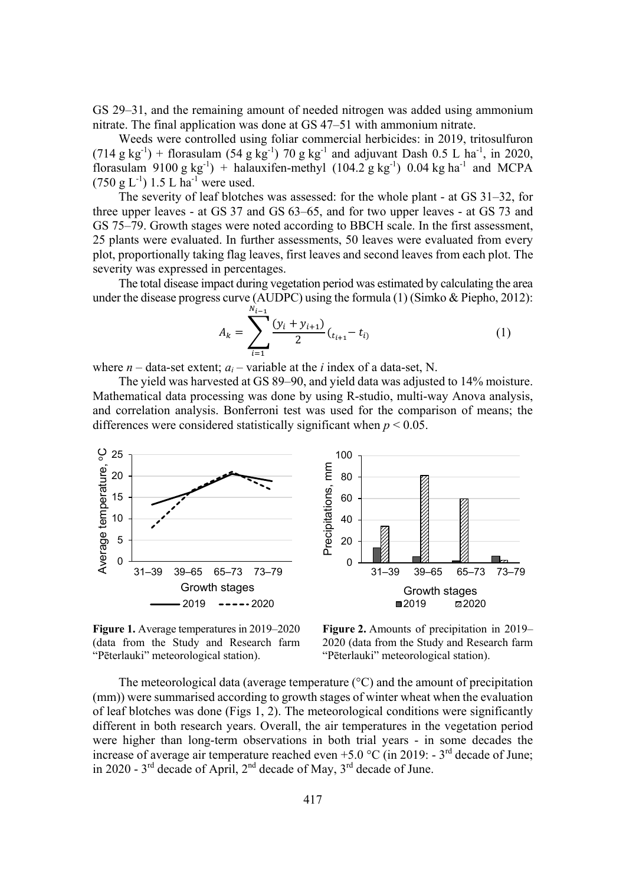GS 29–31, and the remaining amount of needed nitrogen was added using ammonium nitrate. The final application was done at GS 47–51 with ammonium nitrate.

Weeds were controlled using foliar commercial herbicides: in 2019, tritosulfuron  $(714 \text{ g kg}^{-1})$  + florasulam  $(54 \text{ g kg}^{-1})$  70 g kg<sup>-1</sup> and adjuvant Dash 0.5 L ha<sup>-1</sup>, in 2020, florasulam 9100 g  $kg^{-1}$ ) + halauxifen-methyl (104.2 g  $kg^{-1}$ ) 0.04 kg ha<sup>-1</sup> and MCPA  $(750 \text{ g L}^{-1})$  1.5 L ha<sup>-1</sup> were used.

The severity of leaf blotches was assessed: for the whole plant - at GS 31–32, for three upper leaves - at GS 37 and GS 63–65, and for two upper leaves - at GS 73 and GS 75–79. Growth stages were noted according to BBCH scale. In the first assessment, 25 plants were evaluated. In further assessments, 50 leaves were evaluated from every plot, proportionally taking flag leaves, first leaves and second leaves from each plot. The severity was expressed in percentages.

The total disease impact during vegetation period was estimated by calculating the area under the disease progress curve (AUDPC) using the formula (1) (Simko & Piepho, 2012):

$$
A_k = \sum_{i=1}^{N_{i-1}} \frac{(y_i + y_{i+1})}{2} (t_{i+1} - t_i)
$$
 (1)

where  $n$  – data-set extent;  $a_i$  – variable at the *i* index of a data-set, N.

The yield was harvested at GS 89–90, and yield data was adjusted to 14% moisture. Mathematical data processing was done by using R-studio, multi-way Anova analysis, and correlation analysis. Bonferroni test was used for the comparison of means; the differences were considered statistically significant when *p* < 0.05.



**Figure 1.** Average temperatures in 2019–2020 (data from the Study and Research farm "Pēterlauki" meteorological station).

**Figure 2.** Amounts of precipitation in 2019– 2020 (data from the Study and Research farm "Pēterlauki" meteorological station).

The meteorological data (average temperature  $({}^{\circ}C)$  and the amount of precipitation (mm)) were summarised according to growth stages of winter wheat when the evaluation of leaf blotches was done (Figs 1, 2). The meteorological conditions were significantly different in both research years. Overall, the air temperatures in the vegetation period were higher than long-term observations in both trial years - in some decades the increase of average air temperature reached even  $+5.0$  °C (in 2019: - 3<sup>rd</sup> decade of June; in 2020 -  $3<sup>rd</sup>$  decade of April,  $2<sup>nd</sup>$  decade of May,  $3<sup>rd</sup>$  decade of June.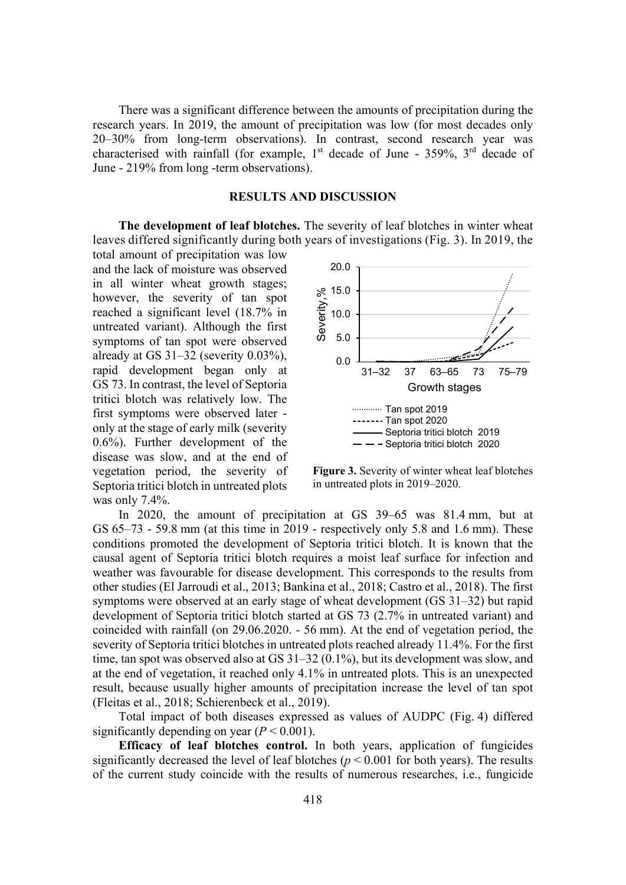There was a significant difference between the amounts of precipitation during the research years. In 2019, the amount of precipitation was low (for most decades only 20–30% from long-term observations). In contrast, second research year was characterised with rainfall (for example,  $1<sup>st</sup>$  decade of June - 359%,  $3<sup>rd</sup>$  decade of June - 219% from long -term observations).

#### **RESULTS AND DISCUSSION**

**The development of leaf blotches.** The severity of leaf blotches in winter wheat leaves differed significantly during both years of investigations (Fig. 3). In 2019, the

was only 7.4%. total amount of precipitation was low and the lack of moisture was observed in all winter wheat growth stages; however, the severity of tan spot reached a significant level (18.7% in untreated variant). Although the first symptoms of tan spot were observed already at GS 31–32 (severity 0.03%), rapid development began only at GS 73. In contrast, the level of Septoria tritici blotch was relatively low. The first symptoms were observed later only at the stage of early milk (severity 0.6%). Further development of the disease was slow, and at the end of vegetation period, the severity of Septoria tritici blotch in untreated plots



**Figure 3.** Severity of winter wheat leaf blotches in untreated plots in 2019–2020.

In 2020, the amount of precipitation at GS 39–65 was 81.4 mm, but at GS 65–73 - 59.8 mm (at this time in 2019 - respectively only 5.8 and 1.6 mm). These conditions promoted the development of Septoria tritici blotch. It is known that the causal agent of Septoria tritici blotch requires a moist leaf surface for infection and weather was favourable for disease development. This corresponds to the results from other studies (El Jarroudi et al., 2013; Bankina et al., 2018; Castro et al., 2018). The first symptoms were observed at an early stage of wheat development (GS 31–32) but rapid development of Septoria tritici blotch started at GS 73 (2.7% in untreated variant) and coincided with rainfall (on 29.06.2020. - 56 mm). At the end of vegetation period, the severity of Septoria tritici blotches in untreated plots reached already 11.4%. For the first time, tan spot was observed also at GS 31–32 (0.1%), but its development was slow, and at the end of vegetation, it reached only 4.1% in untreated plots. This is an unexpected result, because usually higher amounts of precipitation increase the level of tan spot (Fleitas et al., 2018; Schierenbeck et al., 2019).

Total impact of both diseases expressed as values of AUDPC (Fig. 4) differed significantly depending on year  $(P < 0.001)$ .

**Efficacy of leaf blotches control.** In both years, application of fungicides significantly decreased the level of leaf blotches ( $p < 0.001$  for both years). The results of the current study coincide with the results of numerous researches, i.e., fungicide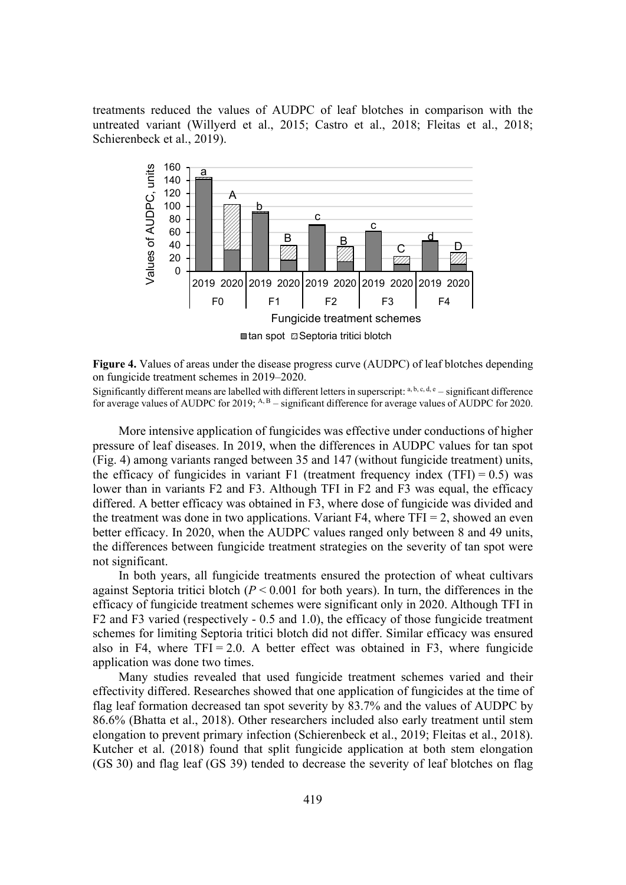treatments reduced the values of AUDPC of leaf blotches in comparison with the untreated variant (Willyerd et al., 2015; Castro et al., 2018; Fleitas et al., 2018; Schierenbeck et al., 2019).



**Figure 4.** Values of areas under the disease progress curve (AUDPC) of leaf blotches depending on fungicide treatment schemes in 2019–2020.

Significantly different means are labelled with different letters in superscript:  $a, b, c, d, e$  – significant difference for average values of AUDPC for 2019; <sup>A, B</sup> – significant difference for average values of AUDPC for 2020.

More intensive application of fungicides was effective under conductions of higher pressure of leaf diseases. In 2019, when the differences in AUDPC values for tan spot (Fig. 4) among variants ranged between 35 and 147 (without fungicide treatment) units, the efficacy of fungicides in variant F1 (treatment frequency index  $(TFI) = 0.5$ ) was lower than in variants F2 and F3. Although TFI in F2 and F3 was equal, the efficacy differed. A better efficacy was obtained in F3, where dose of fungicide was divided and the treatment was done in two applications. Variant  $F4$ , where  $TFI = 2$ , showed an even better efficacy. In 2020, when the AUDPC values ranged only between 8 and 49 units, the differences between fungicide treatment strategies on the severity of tan spot were not significant.

In both years, all fungicide treatments ensured the protection of wheat cultivars against Septoria tritici blotch (*P* < 0.001 for both years). In turn, the differences in the efficacy of fungicide treatment schemes were significant only in 2020. Although TFI in F2 and F3 varied (respectively - 0.5 and 1.0), the efficacy of those fungicide treatment schemes for limiting Septoria tritici blotch did not differ. Similar efficacy was ensured also in F4, where  $TFI = 2.0$ . A better effect was obtained in F3, where fungicide application was done two times.

Many studies revealed that used fungicide treatment schemes varied and their effectivity differed. Researches showed that one application of fungicides at the time of flag leaf formation decreased tan spot severity by 83.7% and the values of AUDPC by 86.6% (Bhatta et al., 2018). Other researchers included also early treatment until stem elongation to prevent primary infection (Schierenbeck et al., 2019; Fleitas et al., 2018). Kutcher et al. (2018) found that split fungicide application at both stem elongation (GS 30) and flag leaf (GS 39) tended to decrease the severity of leaf blotches on flag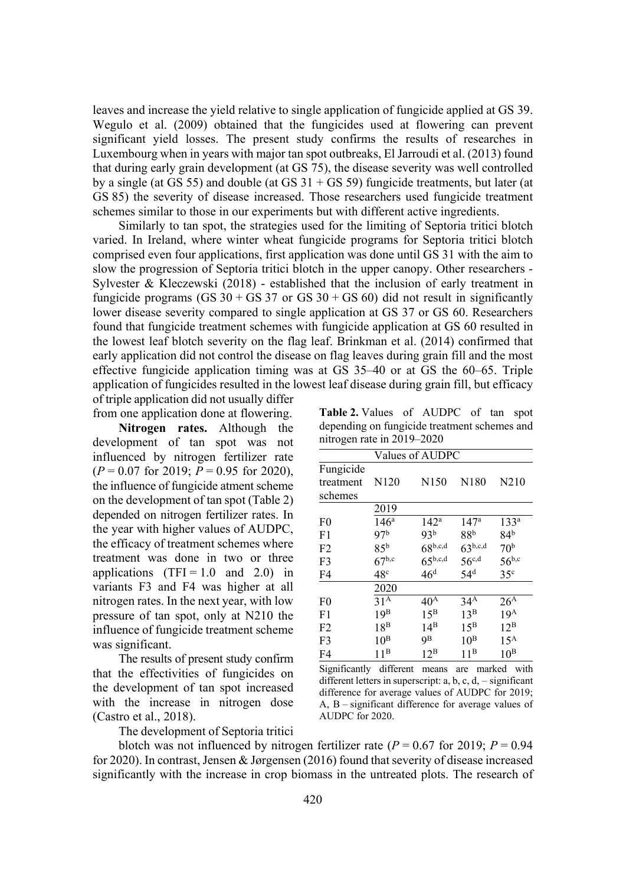leaves and increase the yield relative to single application of fungicide applied at GS 39. Wegulo et al. (2009) obtained that the fungicides used at flowering can prevent significant yield losses. The present study confirms the results of researches in Luxembourg when in years with major tan spot outbreaks, El Jarroudi et al. (2013) found that during early grain development (at GS 75), the disease severity was well controlled by a single (at GS 55) and double (at GS  $31 +$  GS 59) fungicide treatments, but later (at GS 85) the severity of disease increased. Those researchers used fungicide treatment schemes similar to those in our experiments but with different active ingredients.

Similarly to tan spot, the strategies used for the limiting of Septoria tritici blotch varied. In Ireland, where winter wheat fungicide programs for Septoria tritici blotch comprised even four applications, first application was done until GS 31 with the aim to slow the progression of Septoria tritici blotch in the upper canopy. Other researchers - Sylvester & Kleczewski (2018) - established that the inclusion of early treatment in fungicide programs (GS  $30 +$  GS  $37$  or GS  $30 +$  GS  $60$ ) did not result in significantly lower disease severity compared to single application at GS 37 or GS 60. Researchers found that fungicide treatment schemes with fungicide application at GS 60 resulted in the lowest leaf blotch severity on the flag leaf. Brinkman et al. (2014) confirmed that early application did not control the disease on flag leaves during grain fill and the most effective fungicide application timing was at GS 35–40 or at GS the 60–65. Triple application of fungicides resulted in the lowest leaf disease during grain fill, but efficacy of triple application did not usually differ

from one application done at flowering.

**Nitrogen rates.** Although the development of tan spot was not influenced by nitrogen fertilizer rate (*P* = 0.07 for 2019; *P* = 0.95 for 2020), the influence of fungicide atment scheme on the development of tan spot (Table 2) depended on nitrogen fertilizer rates. In the year with higher values of AUDPC, the efficacy of treatment schemes where treatment was done in two or three applications  $(TFI = 1.0$  and  $2.0$  in variants F3 and F4 was higher at all nitrogen rates. In the next year, with low pressure of tan spot, only at N210 the influence of fungicide treatment scheme was significant.

The results of present study confirm that the effectivities of fungicides on the development of tan spot increased with the increase in nitrogen dose (Castro et al., 2018).

The development of Septoria tritici

**Table 2.** Values of AUDPC of tan spot depending on fungicide treatment schemes and nitrogen rate in 2019–2020

| Values of AUDPC                   |                  |                  |                   |                   |  |  |
|-----------------------------------|------------------|------------------|-------------------|-------------------|--|--|
| Fungicide<br>treatment<br>schemes | N <sub>120</sub> | N <sub>150</sub> | N <sub>180</sub>  | N <sub>2</sub> 10 |  |  |
|                                   | 2019             |                  |                   |                   |  |  |
| F <sub>0</sub>                    | 146 <sup>a</sup> | $142^{\rm a}$    | 147 <sup>a</sup>  | 133 <sup>a</sup>  |  |  |
| F <sub>1</sub>                    | 97 <sup>b</sup>  | 93 <sup>b</sup>  | 88 <sup>b</sup>   | 84 <sup>b</sup>   |  |  |
| F <sub>2</sub>                    | 85 <sup>b</sup>  | $68^{b,c,d}$     | $63^{b,c,d}$      | 70 <sup>b</sup>   |  |  |
| F <sub>3</sub>                    | $67^{b,c}$       | $65^{b,c,d}$     | $56^{\text{c,d}}$ | $56^{b,c}$        |  |  |
| F <sub>4</sub>                    | 48 <sup>c</sup>  | 46 <sup>d</sup>  | 54 <sup>d</sup>   | 35 <sup>c</sup>   |  |  |
|                                   | 2020             |                  |                   |                   |  |  |
| F <sub>0</sub>                    | 31 <sup>A</sup>  | 40 <sup>A</sup>  | 34 <sup>A</sup>   | 26 <sup>A</sup>   |  |  |
| F <sub>1</sub>                    | 19 <sup>B</sup>  | $15^{\rm B}$     | $13^B$            | 19 <sup>A</sup>   |  |  |
| F <sub>2</sub>                    | $18^{\rm B}$     | $14^{\rm B}$     | $15^{\rm B}$      | $12^{\rm B}$      |  |  |
| F <sub>3</sub>                    | $10^{\rm B}$     | 9В               | $10^{\rm B}$      | $15^{\text{A}}$   |  |  |
| F <sub>4</sub>                    | 11 <sup>B</sup>  | $12^{\rm B}$     | $11^{\rm B}$      | $10^{\rm B}$      |  |  |

Significantly different means are marked with different letters in superscript: a, b, c, d, – significant difference for average values of AUDPC for 2019; A, B – significant difference for average values of AUDPC for 2020.

blotch was not influenced by nitrogen fertilizer rate  $(P = 0.67$  for 2019;  $P = 0.94$ for 2020). In contrast, Jensen & Jørgensen (2016) found that severity of disease increased significantly with the increase in crop biomass in the untreated plots. The research of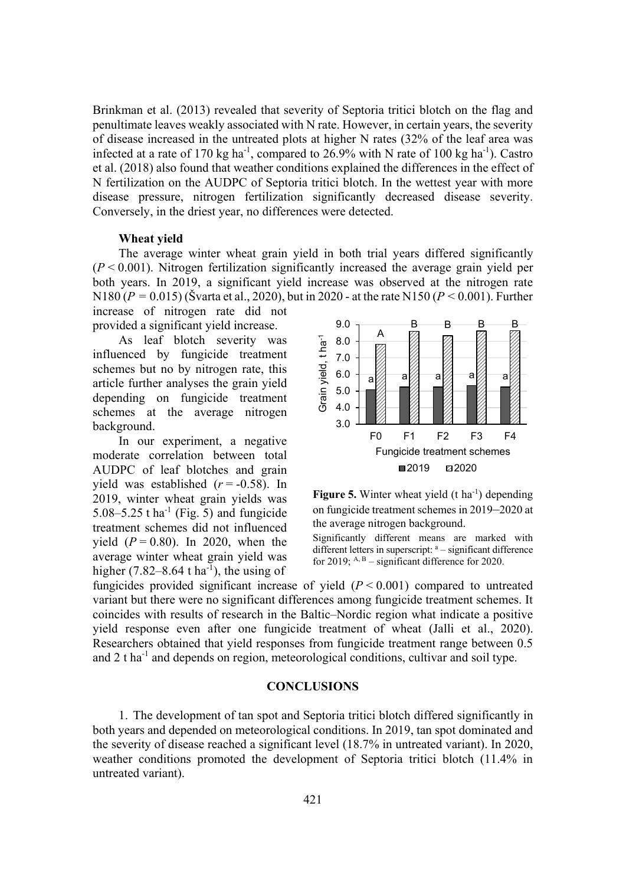Brinkman et al. (2013) revealed that severity of Septoria tritici blotch on the flag and penultimate leaves weakly associated with N rate. However, in certain years, the severity of disease increased in the untreated plots at higher N rates (32% of the leaf area was infected at a rate of 170 kg ha<sup>-1</sup>, compared to 26.9% with N rate of 100 kg ha<sup>-1</sup>). Castro et al. (2018) also found that weather conditions explained the differences in the effect of N fertilization on the AUDPC of Septoria tritici blotch. In the wettest year with more disease pressure, nitrogen fertilization significantly decreased disease severity. Conversely, in the driest year, no differences were detected.

### **Wheat yield**

The average winter wheat grain yield in both trial years differed significantly  $(P < 0.001)$ . Nitrogen fertilization significantly increased the average grain yield per both years. In 2019, a significant yield increase was observed at the nitrogen rate N180 ( $P = 0.015$ ) (Švarta et al., 2020), but in 2020 - at the rate N150 ( $P < 0.001$ ). Further increase of nitrogen rate did not

provided a significant yield increase.

As leaf blotch severity was influenced by fungicide treatment schemes but no by nitrogen rate, this article further analyses the grain yield depending on fungicide treatment schemes at the average nitrogen background.

In our experiment, a negative moderate correlation between total AUDPC of leaf blotches and grain yield was established  $(r = -0.58)$ . In 2019, winter wheat grain yields was 5.08–5.25 t ha<sup>-1</sup> (Fig. 5) and fungicide treatment schemes did not influenced yield  $(P = 0.80)$ . In 2020, when the average winter wheat grain yield was higher  $(7.82-8.64 \text{ t ha}^{-1})$ , the using of





Significantly different means are marked with different letters in superscript: <sup>a</sup> – significant difference for 2019;  $A, B$  – significant difference for 2020.

fungicides provided significant increase of yield  $(P < 0.001)$  compared to untreated variant but there were no significant differences among fungicide treatment schemes. It coincides with results of research in the Baltic–Nordic region what indicate a positive yield response even after one fungicide treatment of wheat (Jalli et al., 2020). Researchers obtained that yield responses from fungicide treatment range between 0.5 and  $2$  t ha<sup>-1</sup> and depends on region, meteorological conditions, cultivar and soil type.

## **CONCLUSIONS**

1. The development of tan spot and Septoria tritici blotch differed significantly in both years and depended on meteorological conditions. In 2019, tan spot dominated and the severity of disease reached a significant level (18.7% in untreated variant). In 2020, weather conditions promoted the development of Septoria tritici blotch (11.4% in untreated variant).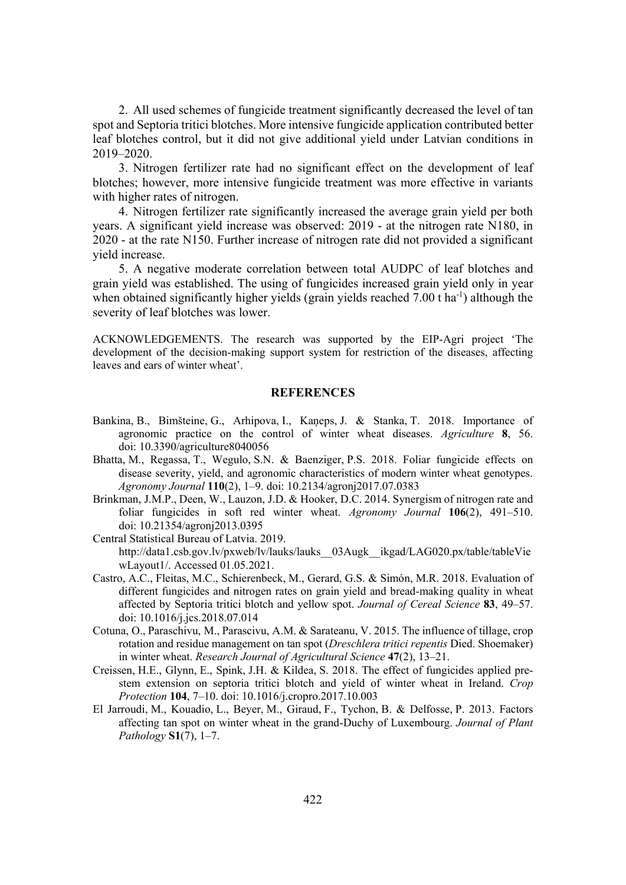2. All used schemes of fungicide treatment significantly decreased the level of tan spot and Septoria tritici blotches. More intensive fungicide application contributed better leaf blotches control, but it did not give additional yield under Latvian conditions in 2019–2020.

3. Nitrogen fertilizer rate had no significant effect on the development of leaf blotches; however, more intensive fungicide treatment was more effective in variants with higher rates of nitrogen.

4. Nitrogen fertilizer rate significantly increased the average grain yield per both years. A significant yield increase was observed: 2019 - at the nitrogen rate N180, in 2020 - at the rate N150. Further increase of nitrogen rate did not provided a significant yield increase.

5. A negative moderate correlation between total AUDPC of leaf blotches and grain yield was established. The using of fungicides increased grain yield only in year when obtained significantly higher yields (grain yields reached  $7.00$  t ha<sup>-1</sup>) although the severity of leaf blotches was lower.

ACKNOWLEDGEMENTS. The research was supported by the EIP-Agri project 'The development of the decision-making support system for restriction of the diseases, affecting leaves and ears of winter wheat'.

#### **REFERENCES**

- Bankina, B., Bimšteine, G., Arhipova, I., Kaneps, J. & Stanka, T. 2018. Importance of agronomic practice on the control of winter wheat diseases. *Agriculture* 8, 56. doi: 10.3390/agriculture8040056
- Bhatta, M., Regassa, T., Wegulo, S.N. & Baenziger, P.S. 2018. Foliar fungicide effects on disease severity, yield, and agronomic characteristics of modern winter wheat genotypes. *Agronomy Journal* 110(2), 1–9. doi: 10.2134/agronj2017.07.0383
- Brinkman, J.M.P., Deen, W., Lauzon, J.D. & Hooker, D.C. 2014. Synergism of nitrogen rate and foliar fungicides in soft red winter wheat. *Agronomy Journal* 106(2), 491–510. doi: 10.21354/agronj2013.0395
- Central Statistical Bureau of Latvia. 2019. http://data1.csb.gov.lv/pxweb/lv/lauks/lauks\_\_03Augk\_\_ikgad/LAG020.px/table/tableVie wLayout1/. Accessed 01.05.2021.
- Castro, A.C., Fleitas, M.C., Schierenbeck, M., Gerard, G.S. & Simón, M.R. 2018. Evaluation of different fungicides and nitrogen rates on grain yield and bread-making quality in wheat affected by Septoria tritici blotch and yellow spot. *Journal of Cereal Science* 83, 49–57. doi: 10.1016/j.jcs.2018.07.014
- Cotuna, O., Paraschivu, M., Parascivu, A.M. & Sarateanu, V. 2015. The influence of tillage, crop rotation and residue management on tan spot (*Dreschlera tritici repentis* Died. Shoemaker) in winter wheat. *Research Journal of Agricultural Science* 47(2), 13–21.
- Creissen, H.E., Glynn, E., Spink, J.H. & Kildea, S. 2018. The effect of fungicides applied prestem extension on septoria tritici blotch and yield of winter wheat in Ireland. *Crop Protection* 104, 7–10. doi: 10.1016/j.cropro.2017.10.003
- El Jarroudi, M., Kouadio, L., Beyer, M., Giraud, F., Tychon, B. & Delfosse, P. 2013. Factors affecting tan spot on winter wheat in the grand-Duchy of Luxembourg. *Journal of Plant Pathology* **S1**(7), 1–7.